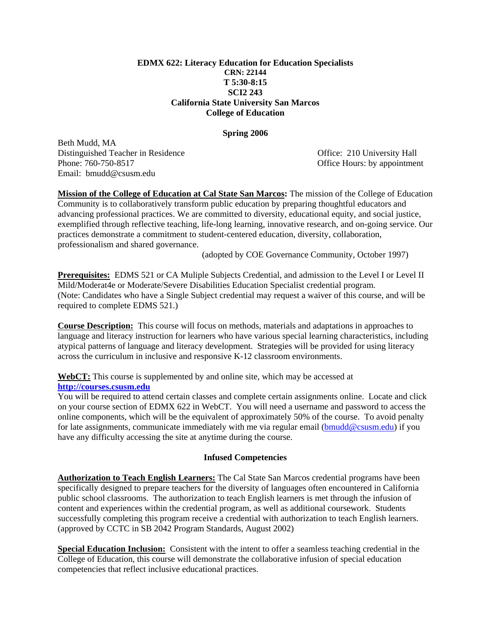#### **EDMX 622: Literacy Education for Education Specialists CRN: 22144 T 5:30-8:15 SCI2 243 California State University San Marcos College of Education**

#### **Spring 2006**

Beth Mudd, MA Distinguished Teacher in Residence Office: 210 University Hall Phone: 760-750-8517 CHO CHOURS: by appointment Email: bmudd@csusm.edu

**Mission of the College of Education at Cal State San Marcos:** The mission of the College of Education Community is to collaboratively transform public education by preparing thoughtful educators and advancing professional practices. We are committed to diversity, educational equity, and social justice, exemplified through reflective teaching, life-long learning, innovative research, and on-going service. Our practices demonstrate a commitment to student-centered education, diversity, collaboration, professionalism and shared governance.

(adopted by COE Governance Community, October 1997)

**Prerequisites:** EDMS 521 or CA Muliple Subjects Credential, and admission to the Level I or Level II Mild/Moderat4e or Moderate/Severe Disabilities Education Specialist credential program. (Note: Candidates who have a Single Subject credential may request a waiver of this course, and will be required to complete EDMS 521.)

**Course Description:** This course will focus on methods, materials and adaptations in approaches to language and literacy instruction for learners who have various special learning characteristics, including atypical patterns of language and literacy development. Strategies will be provided for using literacy across the curriculum in inclusive and responsive K-12 classroom environments.

**WebCT:** This course is supplemented by and online site, which may be accessed at **http://courses.csusm.edu**

You will be required to attend certain classes and complete certain assignments online. Locate and click on your course section of EDMX 622 in WebCT. You will need a username and password to access the online components, which will be the equivalent of approximately 50% of the course. To avoid penalty for late assignments, communicate immediately with me via regular email (bmudd@csusm.edu) if you have any difficulty accessing the site at anytime during the course.

### **Infused Competencies**

**Authorization to Teach English Learners:** The Cal State San Marcos credential programs have been specifically designed to prepare teachers for the diversity of languages often encountered in California public school classrooms. The authorization to teach English learners is met through the infusion of content and experiences within the credential program, as well as additional coursework. Students successfully completing this program receive a credential with authorization to teach English learners. (approved by CCTC in SB 2042 Program Standards, August 2002)

**Special Education Inclusion:** Consistent with the intent to offer a seamless teaching credential in the College of Education, this course will demonstrate the collaborative infusion of special education competencies that reflect inclusive educational practices.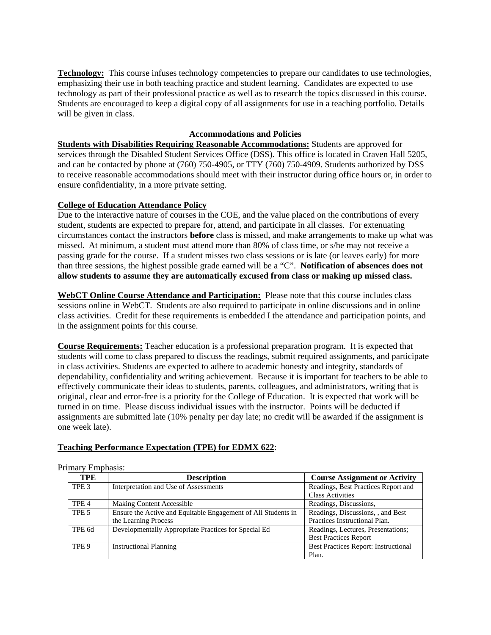**Technology:** This course infuses technology competencies to prepare our candidates to use technologies, emphasizing their use in both teaching practice and student learning. Candidates are expected to use technology as part of their professional practice as well as to research the topics discussed in this course. Students are encouraged to keep a digital copy of all assignments for use in a teaching portfolio. Details will be given in class.

## **Accommodations and Policies**

**Students with Disabilities Requiring Reasonable Accommodations:** Students are approved for services through the Disabled Student Services Office (DSS). This office is located in Craven Hall 5205, and can be contacted by phone at (760) 750-4905, or TTY (760) 750-4909. Students authorized by DSS to receive reasonable accommodations should meet with their instructor during office hours or, in order to ensure confidentiality, in a more private setting.

### **College of Education Attendance Policy**

Due to the interactive nature of courses in the COE, and the value placed on the contributions of every student, students are expected to prepare for, attend, and participate in all classes. For extenuating circumstances contact the instructors **before** class is missed, and make arrangements to make up what was missed. At minimum, a student must attend more than 80% of class time, or s/he may not receive a passing grade for the course. If a student misses two class sessions or is late (or leaves early) for more than three sessions, the highest possible grade earned will be a "C". **Notification of absences does not allow students to assume they are automatically excused from class or making up missed class.** 

**WebCT Online Course Attendance and Participation:** Please note that this course includes class sessions online in WebCT. Students are also required to participate in online discussions and in online class activities. Credit for these requirements is embedded I the attendance and participation points, and in the assignment points for this course.

**Course Requirements:** Teacher education is a professional preparation program. It is expected that students will come to class prepared to discuss the readings, submit required assignments, and participate in class activities. Students are expected to adhere to academic honesty and integrity, standards of dependability, confidentiality and writing achievement. Because it is important for teachers to be able to effectively communicate their ideas to students, parents, colleagues, and administrators, writing that is original, clear and error-free is a priority for the College of Education. It is expected that work will be turned in on time. Please discuss individual issues with the instructor. Points will be deducted if assignments are submitted late (10% penalty per day late; no credit will be awarded if the assignment is one week late).

# **Teaching Performance Expectation (TPE) for EDMX 622**:

| TPE              | <b>Description</b>                                            | <b>Course Assignment or Activity</b> |
|------------------|---------------------------------------------------------------|--------------------------------------|
| TPE <sub>3</sub> | Interpretation and Use of Assessments                         | Readings, Best Practices Report and  |
|                  |                                                               | <b>Class Activities</b>              |
| TPE <sub>4</sub> | Making Content Accessible                                     | Readings, Discussions,               |
| TPE 5            | Ensure the Active and Equitable Engagement of All Students in | Readings, Discussions, , and Best    |
|                  | the Learning Process                                          | Practices Instructional Plan.        |
| TPE 6d           | Developmentally Appropriate Practices for Special Ed          | Readings, Lectures, Presentations;   |
|                  |                                                               | <b>Best Practices Report</b>         |
| TPE 9            | <b>Instructional Planning</b>                                 | Best Practices Report: Instructional |
|                  |                                                               | Plan.                                |

Primary Emphasis: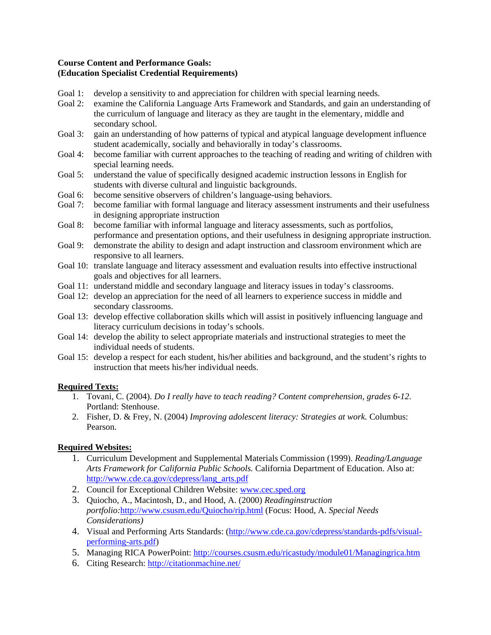## **Course Content and Performance Goals: (Education Specialist Credential Requirements)**

- Goal 1: develop a sensitivity to and appreciation for children with special learning needs.
- Goal 2: examine the California Language Arts Framework and Standards, and gain an understanding of the curriculum of language and literacy as they are taught in the elementary, middle and secondary school.
- Goal 3: gain an understanding of how patterns of typical and atypical language development influence student academically, socially and behaviorally in today's classrooms.
- Goal 4: become familiar with current approaches to the teaching of reading and writing of children with special learning needs.
- Goal 5: understand the value of specifically designed academic instruction lessons in English for students with diverse cultural and linguistic backgrounds.
- Goal 6: become sensitive observers of children's language-using behaviors.
- Goal 7: become familiar with formal language and literacy assessment instruments and their usefulness in designing appropriate instruction
- Goal 8: become familiar with informal language and literacy assessments, such as portfolios, performance and presentation options, and their usefulness in designing appropriate instruction.
- Goal 9: demonstrate the ability to design and adapt instruction and classroom environment which are responsive to all learners.
- Goal 10: translate language and literacy assessment and evaluation results into effective instructional goals and objectives for all learners.
- Goal 11: understand middle and secondary language and literacy issues in today's classrooms.
- Goal 12: develop an appreciation for the need of all learners to experience success in middle and secondary classrooms.
- Goal 13: develop effective collaboration skills which will assist in positively influencing language and literacy curriculum decisions in today's schools.
- Goal 14: develop the ability to select appropriate materials and instructional strategies to meet the individual needs of students.
- Goal 15: develop a respect for each student, his/her abilities and background, and the student's rights to instruction that meets his/her individual needs.

### **Required Texts:**

- 1. Tovani, C. (2004). *Do I really have to teach reading? Content comprehension, grades 6-12*. Portland: Stenhouse.
- 2. Fisher, D. & Frey, N. (2004) *Improving adolescent literacy: Strategies at work.* Columbus: Pearson.

# **Required Websites:**

- 1. Curriculum Development and Supplemental Materials Commission (1999). *Reading/Language Arts Framework for California Public Schools.* California Department of Education. Also at: http://www.cde.ca.gov/cdepress/lang\_arts.pdf
- 2. Council for Exceptional Children Website: www.cec.sped.org
- 3. Quiocho, A., Macintosh, D., and Hood, A. (2000) *Readinginstruction portfolio:*http://www.csusm.edu/Quiocho/rip.html (Focus: Hood, A. *Special Needs Considerations)*
- 4. Visual and Performing Arts Standards: (http://www.cde.ca.gov/cdepress/standards-pdfs/visualperforming-arts.pdf)
- 5. Managing RICA PowerPoint: http://courses.csusm.edu/ricastudy/module01/Managingrica.htm
- 6. Citing Research: http://citationmachine.net/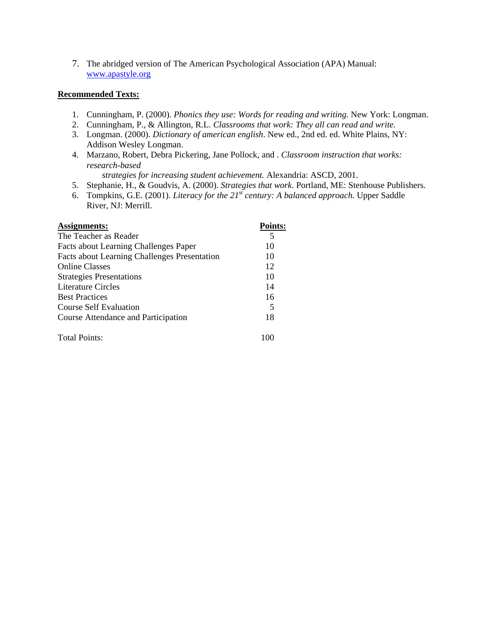7. The abridged version of The American Psychological Association (APA) Manual: www.apastyle.org

### **Recommended Texts:**

- 1. Cunningham, P. (2000). *Phonics they use: Words for reading and writing.* New York: Longman.
- 2. Cunningham, P., & Allington, R.L. *Classrooms that work: They all can read and write.*
- 3. Longman. (2000). *Dictionary of american english*. New ed., 2nd ed. ed. White Plains, NY: Addison Wesley Longman.
- 4. Marzano, Robert, Debra Pickering, Jane Pollock, and . *Classroom instruction that works: research-based*

*strategies for increasing student achievement.* Alexandria: ASCD, 2001.

- 5. Stephanie, H., & Goudvis, A. (2000). *Strategies that work*. Portland, ME: Stenhouse Publishers.
- 6. Tompkins, G.E. (2001). *Literacy for the 21st century: A balanced approach.* Upper Saddle River, NJ: Merrill.

| Assignments:                                        | <b>Points:</b> |
|-----------------------------------------------------|----------------|
| The Teacher as Reader                               | 5              |
| Facts about Learning Challenges Paper               | 10             |
| <b>Facts about Learning Challenges Presentation</b> | 10             |
| <b>Online Classes</b>                               | 12             |
| <b>Strategies Presentations</b>                     | 10             |
| Literature Circles                                  | 14             |
| <b>Best Practices</b>                               | 16             |
| Course Self Evaluation                              | 5              |
| Course Attendance and Participation                 | 18             |
| <b>Total Points:</b>                                |                |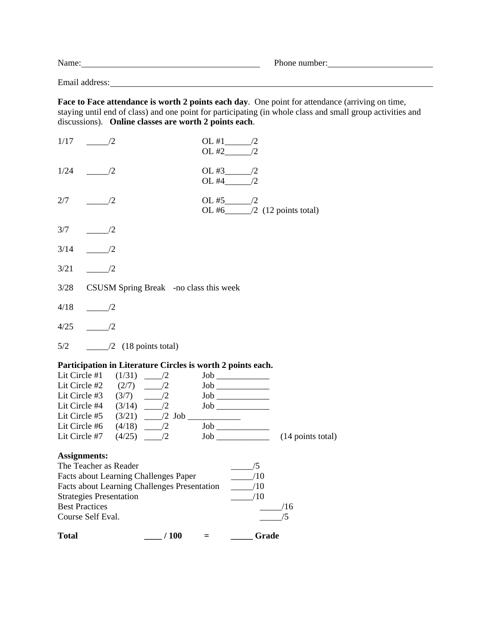| N<br>іманіе | T.<br>.<br>,,,,<br>D⊟ |  |
|-------------|-----------------------|--|
|             |                       |  |

Email address:

**Face to Face attendance is worth 2 points each day**. One point for attendance (arriving on time, staying until end of class) and one point for participating (in whole class and small group activities and discussions). **Online classes are worth 2 points each**.

| $\frac{1}{2}$ / 100<br><b>Total</b>                                                                 | <b>Crade</b><br>$=$                                                |
|-----------------------------------------------------------------------------------------------------|--------------------------------------------------------------------|
| Course Self Eval.                                                                                   | /5                                                                 |
| <b>Best Practices</b>                                                                               | /16                                                                |
| <b>Strategies Presentation</b>                                                                      | /10                                                                |
| <b>Facts about Learning Challenges Paper</b><br><b>Facts about Learning Challenges Presentation</b> | $\frac{10}{2}$<br>$-$ 10                                           |
| The Teacher as Reader                                                                               | $\frac{\ }{2}$ /5                                                  |
| <b>Assignments:</b>                                                                                 |                                                                    |
|                                                                                                     |                                                                    |
|                                                                                                     | $\text{Job}$ (14 points total)                                     |
|                                                                                                     |                                                                    |
| Lit Circle #5 $(3/21)$ 2 Job                                                                        |                                                                    |
| Lit Circle #3 $(3/7)$ $\frac{1}{2}$<br>Lit Circle #4 $(3/14)$ $\frac{1}{2}$                         |                                                                    |
|                                                                                                     | $\begin{tabular}{c} \multicolumn{2}{c} \textbf{Job} \end{tabular}$ |
|                                                                                                     |                                                                    |
| Participation in Literature Circles is worth 2 points each.<br>Lit Circle #1 $(1/31)$ _____/2       |                                                                    |
|                                                                                                     |                                                                    |
| 5/2<br>$\frac{1}{2}$ (18 points total)                                                              |                                                                    |
| $\sqrt{2}$<br>4/25                                                                                  |                                                                    |
| 4/18<br>$\sqrt{2}$                                                                                  |                                                                    |
|                                                                                                     |                                                                    |
| 3/28<br>CSUSM Spring Break -no class this week                                                      |                                                                    |
| $\frac{1}{2}$<br>3/21                                                                               |                                                                    |
| $\frac{1}{2}$<br>3/14                                                                               |                                                                    |
| 3/7<br>$\sqrt{2}$                                                                                   |                                                                    |
|                                                                                                     | OL #6 $\_\_\_\/2$ (12 points total)                                |
| 2/7<br>$\frac{1}{2}$                                                                                |                                                                    |
|                                                                                                     |                                                                    |
| 1/24<br>$\frac{1}{2}$                                                                               |                                                                    |
| $1/17$ /2                                                                                           |                                                                    |
|                                                                                                     |                                                                    |